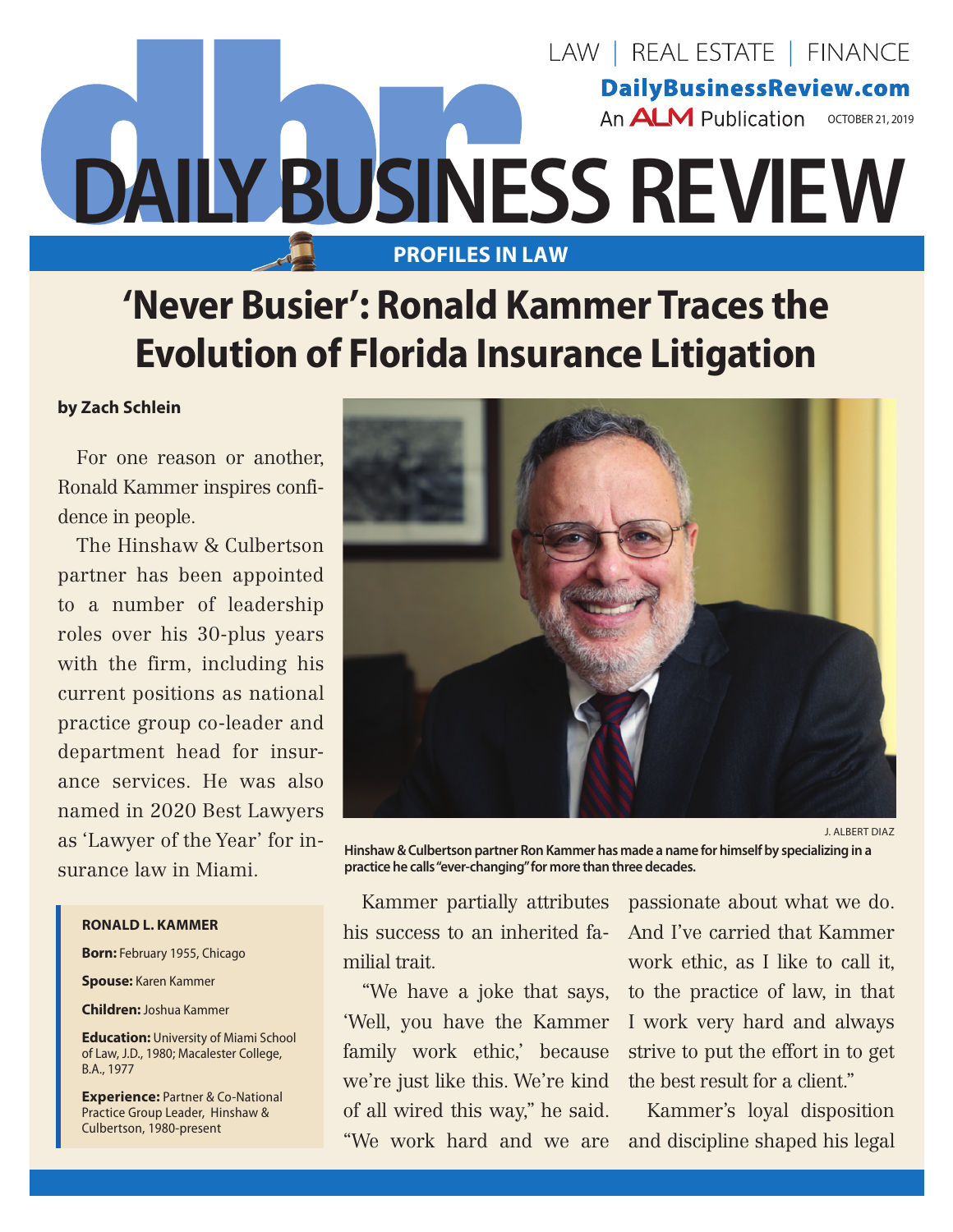

## **'Never Busier': Ronald Kammer Traces the Evolution of Florida Insurance Litigation**

## **by Zach Schlein**

For one reason or another, Ronald Kammer inspires confidence in people.

The Hinshaw & Culbertson partner has been appointed to a number of leadership roles over his 30-plus years with the firm, including his current positions as national practice group co-leader and department head for insurance services. He was also named in 2020 Best Lawyers as 'Lawyer of the Year' for insurance law in Miami.

## **Ronald L. Kammer**

**Born:** February 1955, Chicago

**Spouse:** Karen Kammer

**Children:** Joshua Kammer

**Education:** University of Miami School of Law, J.D., 1980; Macalester College, B.A., 1977

**Experience:** Partner & Co-National Practice Group Leader, Hinshaw & Culbertson, 1980-present



J. Albert Diaz

**Hinshaw & Culbertson partner Ron Kammer has made a name for himself by specializing in a practice he calls "ever-changing" for more than three decades.**

Kammer partially attributes his success to an inherited familial trait.

family work ethic,' because we're just like this. We're kind of all wired this way," he said. "We work hard and we are

"We have a joke that says, to the practice of law, in that 'Well, you have the Kammer I work very hard and always passionate about what we do. And I've carried that Kammer work ethic, as I like to call it, strive to put the effort in to get the best result for a client."

> Kammer's loyal disposition and discipline shaped his legal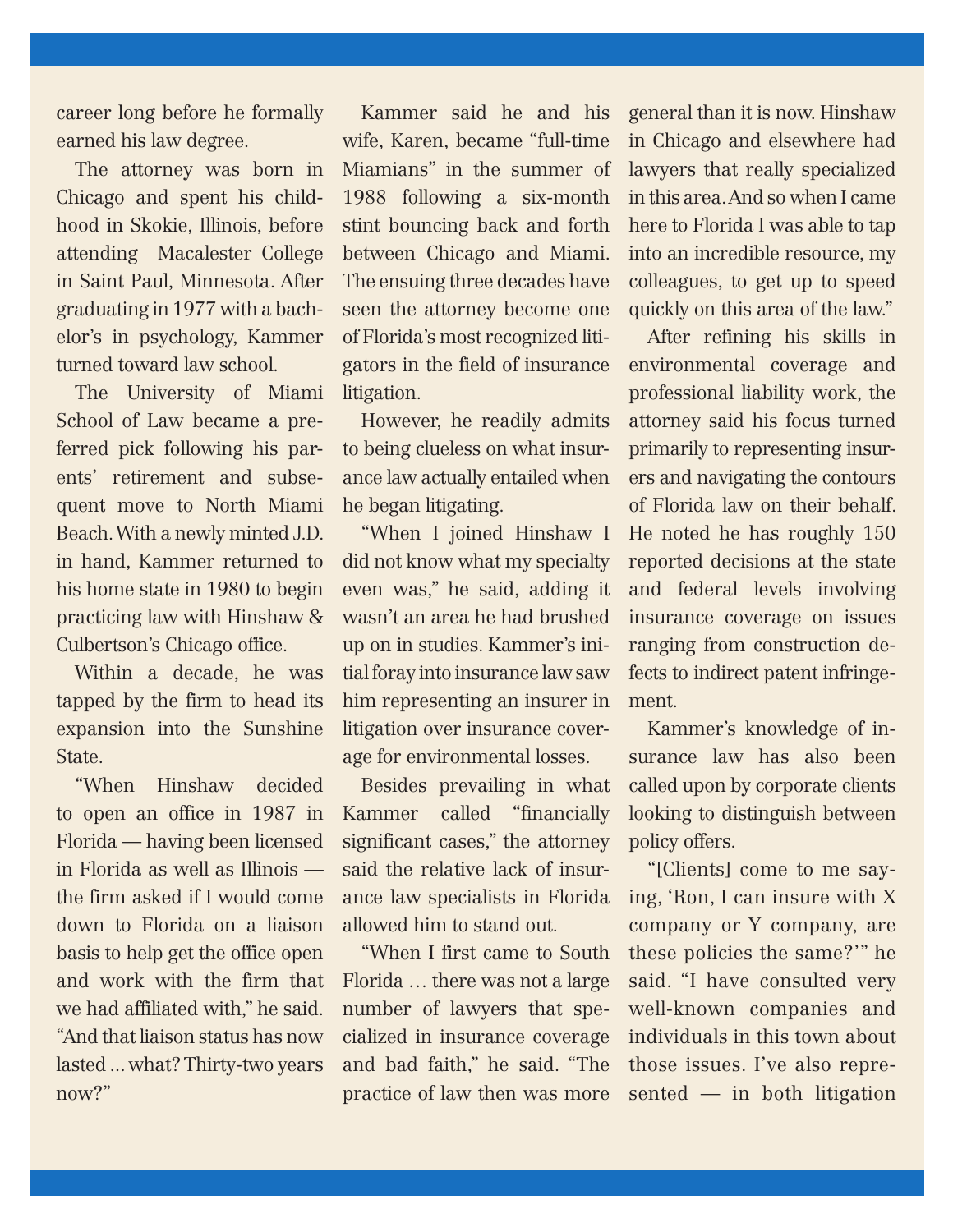career long before he formally earned his law degree.

The attorney was born in Chicago and spent his childhood in Skokie, Illinois, before attending Macalester College in Saint Paul, Minnesota. After graduating in 1977 with a bachelor's in psychology, Kammer turned toward law school.

The University of Miami School of Law became a preferred pick following his parents' retirement and subsequent move to North Miami Beach. With a newly minted J.D. in hand, Kammer returned to his home state in 1980 to begin practicing law with Hinshaw & Culbertson's Chicago office.

Within a decade, he was tapped by the firm to head its expansion into the Sunshine State.

"When Hinshaw decided to open an office in 1987 in Florida — having been licensed in Florida as well as Illinois the firm asked if I would come down to Florida on a liaison basis to help get the office open and work with the firm that we had affiliated with," he said. "And that liaison status has now lasted ... what? Thirty-two years now?"

Kammer said he and his wife, Karen, became "full-time Miamians" in the summer of 1988 following a six-month stint bouncing back and forth between Chicago and Miami. The ensuing three decades have seen the attorney become one of Florida's most recognized litigators in the field of insurance litigation.

However, he readily admits to being clueless on what insurance law actually entailed when he began litigating.

"When I joined Hinshaw I did not know what my specialty even was," he said, adding it wasn't an area he had brushed up on in studies. Kammer's initial foray into insurance law saw him representing an insurer in litigation over insurance coverage for environmental losses.

Besides prevailing in what Kammer called "financially significant cases," the attorney said the relative lack of insurance law specialists in Florida allowed him to stand out.

"When I first came to South Florida … there was not a large number of lawyers that specialized in insurance coverage and bad faith," he said. "The practice of law then was more general than it is now. Hinshaw in Chicago and elsewhere had lawyers that really specialized in this area. And so when I came here to Florida I was able to tap into an incredible resource, my colleagues, to get up to speed quickly on this area of the law."

After refining his skills in environmental coverage and professional liability work, the attorney said his focus turned primarily to representing insurers and navigating the contours of Florida law on their behalf. He noted he has roughly 150 reported decisions at the state and federal levels involving insurance coverage on issues ranging from construction defects to indirect patent infringement.

Kammer's knowledge of insurance law has also been called upon by corporate clients looking to distinguish between policy offers.

"[Clients] come to me saying, 'Ron, I can insure with X company or Y company, are these policies the same?'" he said. "I have consulted very well-known companies and individuals in this town about those issues. I've also represented — in both litigation